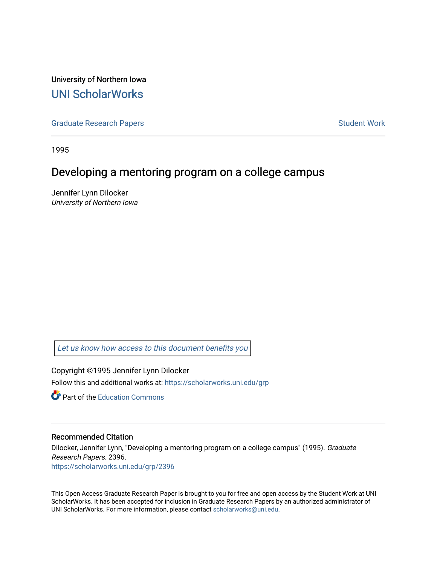University of Northern Iowa [UNI ScholarWorks](https://scholarworks.uni.edu/) 

[Graduate Research Papers](https://scholarworks.uni.edu/grp) **Student Work** Student Work

1995

# Developing a mentoring program on a college campus

Jennifer Lynn Dilocker University of Northern Iowa

[Let us know how access to this document benefits you](https://scholarworks.uni.edu/feedback_form.html) 

Copyright ©1995 Jennifer Lynn Dilocker Follow this and additional works at: [https://scholarworks.uni.edu/grp](https://scholarworks.uni.edu/grp?utm_source=scholarworks.uni.edu%2Fgrp%2F2396&utm_medium=PDF&utm_campaign=PDFCoverPages) 

**C** Part of the [Education Commons](http://network.bepress.com/hgg/discipline/784?utm_source=scholarworks.uni.edu%2Fgrp%2F2396&utm_medium=PDF&utm_campaign=PDFCoverPages)

## Recommended Citation

Dilocker, Jennifer Lynn, "Developing a mentoring program on a college campus" (1995). Graduate Research Papers. 2396. [https://scholarworks.uni.edu/grp/2396](https://scholarworks.uni.edu/grp/2396?utm_source=scholarworks.uni.edu%2Fgrp%2F2396&utm_medium=PDF&utm_campaign=PDFCoverPages) 

This Open Access Graduate Research Paper is brought to you for free and open access by the Student Work at UNI ScholarWorks. It has been accepted for inclusion in Graduate Research Papers by an authorized administrator of UNI ScholarWorks. For more information, please contact [scholarworks@uni.edu.](mailto:scholarworks@uni.edu)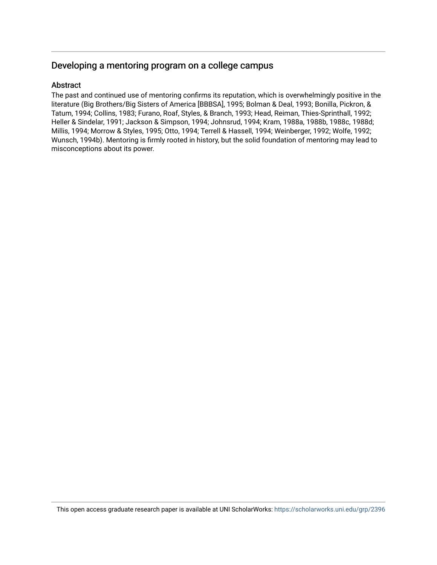# Developing a mentoring program on a college campus

## Abstract

The past and continued use of mentoring confirms its reputation, which is overwhelmingly positive in the literature (Big Brothers/Big Sisters of America [BBBSA], 1995; Bolman & Deal, 1993; Bonilla, Pickron, & Tatum, 1994; Collins, 1983; Furano, Roaf, Styles, & Branch, 1993; Head, Reiman, Thies-Sprinthall, 1992; Heller & Sindelar, 1991; Jackson & Simpson, 1994; Johnsrud, 1994; Kram, 1988a, 1988b, 1988c, 1988d; Millis, 1994; Morrow & Styles, 1995; Otto, 1994; Terrell & Hassell, 1994; Weinberger, 1992; Wolfe, 1992; Wunsch, 1994b). Mentoring is firmly rooted in history, but the solid foundation of mentoring may lead to misconceptions about its power.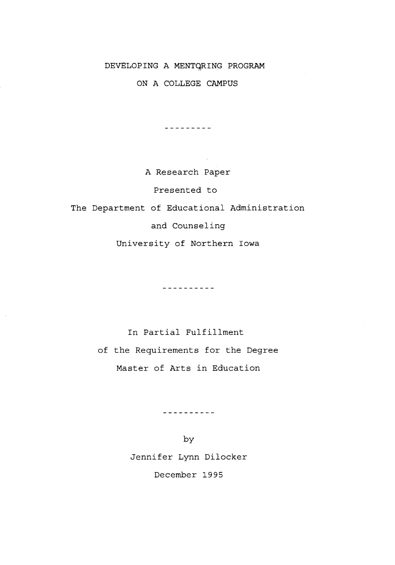## DEVELOPING A MENTQRING PROGRAM

ON A COLLEGE CAMPUS

---------

A Research Paper

Presented to

The Department of Educational Administration

and Counseling

University of Northern Iowa

----------

In Partial Fulfillment of the Requirements for the Degree Master of Arts in Education

----------

by Jennifer Lynn Dilocker December 1995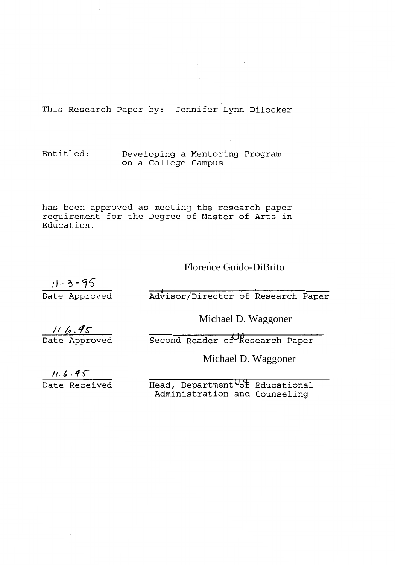This Research Paper by: Jennifer Lynn Dilocker

Entitled: Developing a Mentoring Program on a College Campus

has been approved as meeting the research paper requirement for the Degree of Master of Arts in Education.

# Florence Guido-DiBrito

 $11 - 3 - 95$ Date Approved

Advisor/Director of Research Paper

Michael D. Waggoner

 $11.6.95$ <br>Date Approved

 $S$ econd Reader of Research Paper

Michael D. Waggoner

 $11.6.45$ 

Date Received

Head, Department <sup>0</sup>of Educational Administration and Counseling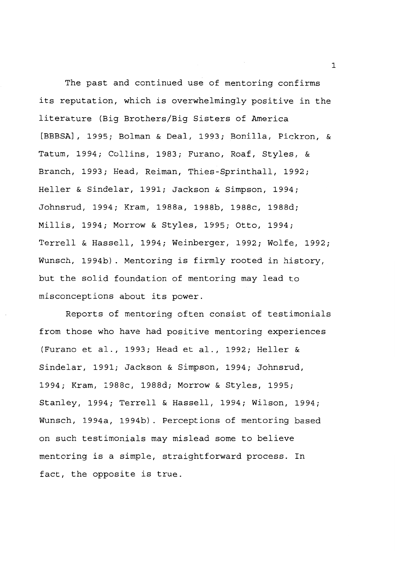The past and continued use of mentoring confirms its reputation, which is overwhelmingly positive in the literature (Big Brothers/Big Sisters of America [BBBSA], 1995; Bolman & Deal, 1993; Bonilla, Pickron, & Tatum, 1994; Collins, 1983; Furano, Roaf, Styles, & Branch, 1993; Head, Reiman, Thies-Sprinthall, 1992; Heller & Sindelar, 1991; Jackson & Simpson, 1994; Johnsrud, 1994; Kram, 1988a, 1988b, 1988c, 1988d; Millis, 1994; Morrow & Styles, 1995; Otto, 1994; Terrell & Hassell, 1994; Weinberger, 1992; Wolfe, 1992; Wunsch, 1994b). Mentoring is firmly rooted in history, but the solid foundation of mentoring may lead to misconceptions about its power.

Reports of mentoring often consist of testimonials from those who have had positive mentoring experiences (Furano et al., 1993; Head et al., 1992; Heller & Sindelar, 1991; Jackson & Simpson, 1994; Johnsrud, 1994; Kram, 1988c, 1988d; Morrow & Styles, 1995; Stanley, 1994; Terrell & Hassell, 1994; Wilson, 1994; Wunsch, 1994a, 1994b). Perceptions of mentoring based on such testimonials may mislead some to believe mentoring is a simple, straightforward process. In fact, the opposite is true.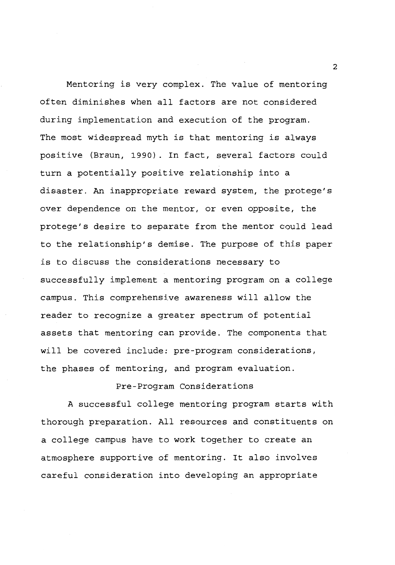Mentoring is very complex. The value of mentoring often diminishes when all factors are not considered during implementation and execution of the program. The most widespread myth is that mentoring is always positive (Braun, 1990). In fact, several factors could turn a potentially positive relationship into a disaster. An inappropriate reward system, the protege's over dependence on the mentor, or even opposite, the protege's desire to separate from the mentor could lead to the relationship's demise. The purpose of this paper is to discuss the considerations necessary to successfully implement a mentoring program on a college campus. This comprehensive awareness will allow the reader to recognize a greater spectrum of potential assets that mentoring can provide. The components that will be covered include: pre-program considerations, the phases of mentoring, and program evaluation.

## Pre-Program Considerations

A successful college mentoring program starts with thorough preparation. All resources and constituents on a college campus have to work together to create an atmosphere supportive of mentoring. It also involves careful consideration into developing an appropriate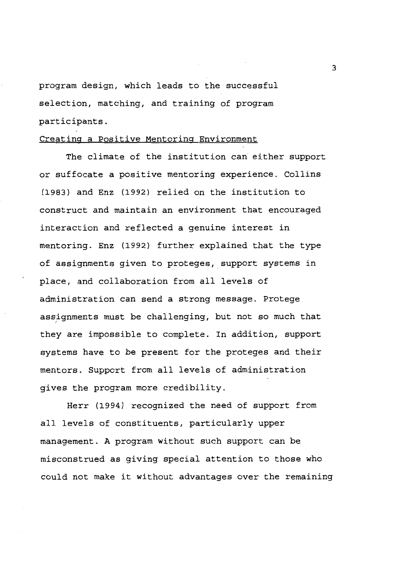program design, which leads to the successful selection, matching, and training of program participants.

## Creating a Positive Mentoring Environment

The climate of the institution can either support or suffocate a positive mentoring experience. Collins (1983) and Enz (1992) relied on the institution to construct and maintain an environment that encouraged interaction and reflected a genuine interest in mentoring. Enz (1992) further explained that the type of assignments given to proteges, support systems in place, and collaboration from all levels of administration can send a strong message. Protege assignments must be challenging, but not so much that *<sup>I</sup>* they are impossible to complete. In addition, support systems have to be present for the proteges and their mentors. Support from all levels of administration gives the program more credibility.

Herr (1994) recognized the need of support from all levels of constituents, particularly upper management. A program without such support can be misconstrued as giving special attention to those who could not make it without advantages over the remaining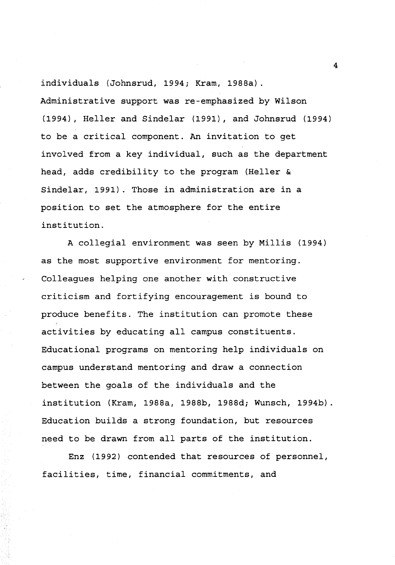individuals {Johnsrud, 1994; Kram, 1988a). Administrative support was re-emphasized by Wilson (1994), Heller and Sindelar (1991), and Johnsrud (1994) to be a critical component. An invitation to get involved from a key individual, such as the department head, adds credibility to the program (Heller & Sindelar, 1991). Those in administration are in a position to set the atmosphere for the entire institution.

A collegial environment was seen by Millis (1994) as the most supportive environment for mentoring. Colleagues helping one another with constructive criticism and fortifying encouragement is bound to produce benefits. The institution can promote these activities by educating all campus constituents. Educational programs on mentoring help individuals on campus understand mentoring and draw a connection between the goals of the individuals and the institution (Kram, 1988a, 1988b, 1988d; Wunsch, 1994b). Education builds a strong foundation, but resources need to be drawn from all parts of the institution.

Enz (1992) contended that resources of personnel, facilities, time, financial commitments, and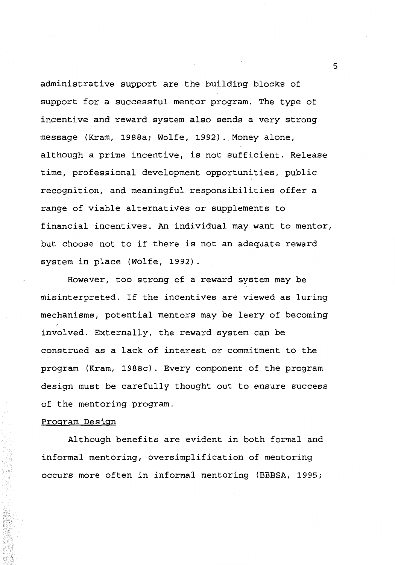administrative support are the building blocks of support for a successful mentor program. The type of incentive and reward system also sends a very strong message (Kram, 1988a; Wolfe, 1992). Money alone, although a prime incentive, is not sufficient. Release time, professional development opportunities, public recognition, and meaningful responsibilities offer a range of viable alternatives or supplements to financial incentives. An individual may want to mentor, but choose not to if there is not an adequate reward system in place (Wolfe, 1992).

However, too strong of a reward system may be misinterpreted. If the incentives are viewed as luring mechanisms, potential mentors may be leery of becoming involved. Externally, the reward system can be construed as a lack of interest or commitment to the program (Kram, 1988c). Every component of the program design must be carefully thought out to ensure success of the mentoring program.

### Program Design

Although benefits are evident in both formal and informal mentoring, oversimplification of mentoring occurs more often in informal mentoring (BBBSA, 1995;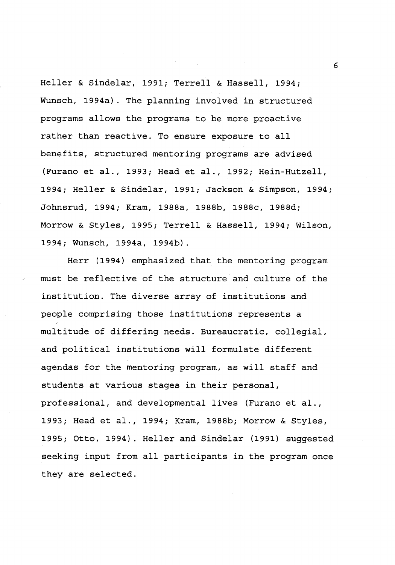Heller & Sindelar, 1991; Terrell & Hassell, 1994; Wunsch, 1994a). The planning involved in structured programs allows the programs to be more proactive rather than reactive. To ensure exposure to all benefits, structured mentoring programs are advised (Furano et al., 1993; Head et al., 1992; Hein-Hutzell, 1994; Heller & Sindelar, 1991; Jackson & Simpson, 1994; Johnsrud, 1994; Kram, 1988a, 1988b, 1988c, 1988d; Morrow & Styles, 1995; Terrell & Hassell, 1994; Wilson, 1994; Wunsch, 1994a, 1994b).

Herr (1994) emphasized that the mentoring program must be reflective of the structure and culture of the institution. The diverse array of institutions and people comprising those institutions represents a multitude of differing needs. Bureaucratic, collegial, and political institutions will formulate different agendas for the mentoring program, as will staff and students at various stages in their personal, professional, and developmental lives (Furano et al., 1993; Head et al., 1994; Kram, 1988b; Morrow & Styles, 1995; Otto, 1994). Heller and Sindelar (1991) suggested seeking input from all participants in the program once they are selected.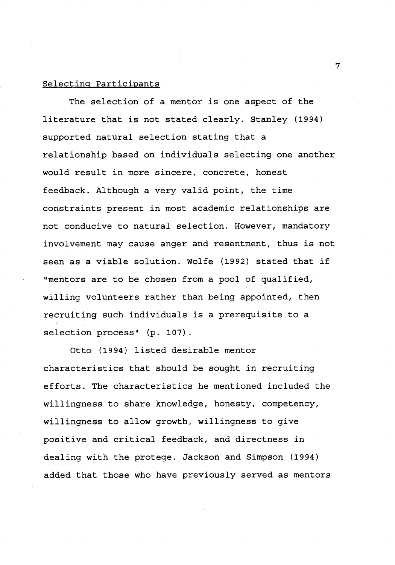### Selecting Participants

The selection of a mentor is one aspect of the literature that is not stated clearly. Stanley (1994) supported natural selection stating that a relationship based on individuals selecting one another would result in more sincere, concrete, honest feedback. Although a very valid point, the time constraints present in most academic relationships are not conducive to natural selection. However, mandatory involvement may cause anger and resentment, thus is not seen as a viable solution. Wolfe (1992) stated that if "mentors are to be chosen from a pool of qualified, willing volunteers rather than being appointed, then recruiting such individuals is a prerequisite to a selection process" (p. 107).

Otto (1994) listed desirable mentor characteristics that should be sought in recruiting efforts. The characteristics he mentioned included the willingness to share knowledge, honesty, competency, willingness to allow growth, willingness to give positive and critical feedback, and directness in dealing with the protege. Jackson and Simpson (1994) added that those who have previously served as mentors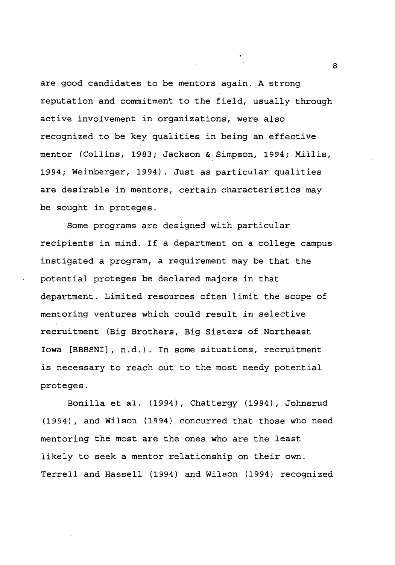are good candidates to be mentors again. A strong reputation and commitment to the field, usually through active involvement in organizations, were also recognized to be key qualities in being an effective mentor (Collins, 1983; Jackson & Simpson, 1994; Millis, 1994; Weinberger, 1994). Just as particular qualities are desirable in mentors, certain characteristics may be sought in proteges.

Some programs are designed with particular recipients in mind. If a department on a college campus instigated a program, a requirement may be that the potential proteges be declared majors in that department. Limited resources often limit the scope of mentoring ventures which could result in selective recruitment (Big Brothers, Big Sisters of Northeast Iowa [BBBSNI], n.d.). In some situations, recruitment is necessary to reach out to the most needy potential proteges.

Bonilla et al. (1994), Chattergy (1994), Johnsrud (1994), and Wilson (1994) concurred that those who need mentoring the most are the ones who are the least likely to seek a mentor relationship on their own. Terrell and Hassell (1994) and Wilson (1994) recognized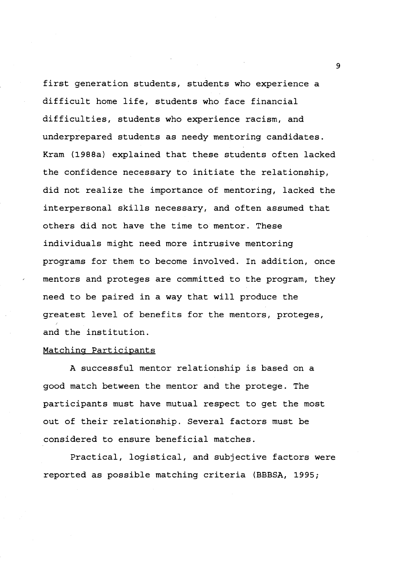first generation students, students who experience a difficult home life, students who face financial difficulties, students who experience racism, and underprepared students as needy mentoring candidates. Kram (1988a) explained that these students often lacked the confidence necessary to initiate the relationship, did not realize the importance of mentoring, lacked the interpersonal skills necessary, and often assumed that others did not have the time to mentor. These individuals might need more intrusive mentoring programs for them to become involved. In addition, once mentors and proteges are committed to the program, they need to be paired in a way that will produce the greatest level of benefits for the mentors, proteges, and the institution.

#### Matching Participants

A successful mentor relationship is based on a good match between the mentor and the protege. The participants must have mutual respect to get the most out of their relationship. Several factors must be considered to ensure beneficial matches.

Practical, logistical, and subjective factors were reported as possible matching criteria (BBBSA, 1995;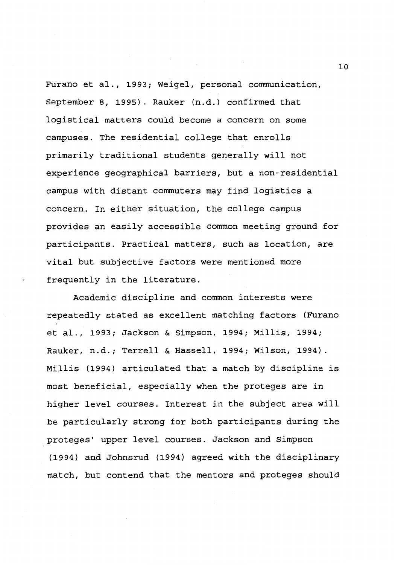Furano et al., 1993; Weigel, personal communication, September 8, 1995). Rauker (n.d.) confirmed that logistical matters could become a concern on some campuses. The residential college that enrolls primarily traditional students generally will not experience geographical barriers, but a non-residential campus with distant commuters may find logistics a concern. In either situation, the college campus provides an easily accessible common meeting ground for participants. Practical matters, such as location, are vital but subjective factors were mentioned more frequently in the literature.

Academic discipline and common interests were repeatedly stated as excellent matching factors (Furano et al., 1993; Jackson & Simpson, 1994; Millis, 1994; Rauker, n.d.; Terrell & Hassell, 1994; Wilson, 1994). Millis (1994) articulated that a match by discipline is most beneficial, especially when the proteges are in higher level courses. Interest in the subject area will be particularly strong for both participants during the proteges' upper level courses. Jackson and Simpson (1994) and Johnsrud (1994) agreed with the disciplinary match, but contend that the mentors and proteges should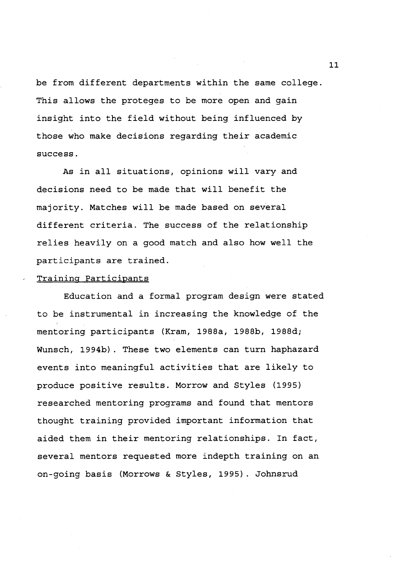be from different departments within the same college. This allows the proteges to be more open and gain insight into the field without being influenced by those who make decisions regarding their academic success.

As in all situations, opinions will vary and decisions need to be made that will benefit the majority. Matches will be made based on several different criteria. The success of the relationship relies heavily on a good match and also how well the participants are trained.

#### Training Participants

Education and a formal program design were stated to be instrumental in increasing the knowledge of the mentoring participants (Kram, 1988a, 1988b, 1988d; Wunsch, 1994b). These two elements can turn haphazard events into meaningful activities that are likely to produce positive results. Morrow and Styles (1995) researched mentoring programs and found that mentors thought training provided important information that aided them in their mentoring relationships. In fact, several mentors requested more indepth training on an on-going basis (Morrows & Styles, 1995). Johnsrud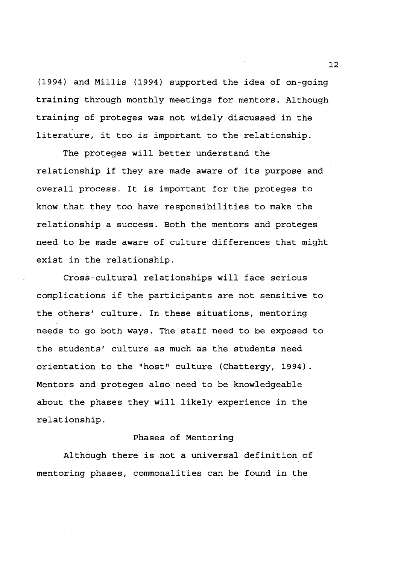(1994) and Millis (1994) supported the idea of on-going training through monthly meetings for mentors. Although training of proteges was not widely discussed in the literature, it too is important to the relationship.

The proteges will better understand the relationship if they are made aware of its purpose and overall process. It is important for the proteges to know that they too have responsibilities to make the relationship a success. Both the mentors and proteges need to be made aware of culture differences that might exist in the relationship.

Cross-cultural relationships will face serious complications if the participants are not sensitive to the others' culture. In these situations, mentoring needs to go both ways. The staff need to be exposed to the students' culture as much as the students need orientation to the "host" culture (Chattergy, 1994). Mentors and proteges also need to be knowledgeable about the phases they will likely experience in the relationship.

#### Phases of Mentoring

Although there is not a universal definition of mentoring phases, commonalities can be found in the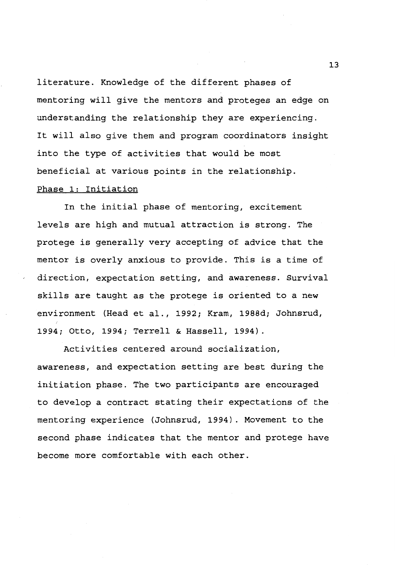literature. Knowledge of the different phases of mentoring will give the mentors and proteges an edge on understanding the relationship they are experiencing. It will also give them and program coordinators insight into the type of activities that would be most beneficial at various points in the relationship.

## Phase 1: Initiation

In the initial phase of mentoring, excitement levels are high and mutual attraction is strong. The protege is generally very accepting of advice that the mentor is overly anxious to provide. This is a time of direction, expectation setting, and awareness. Survival skills are taught as the protege is oriented to a new environment (Head et al., 1992; Kram, 1988d; Johnsrud, 1994; Otto, 1994; Terrell & Hassell, 1994).

Activities centered around socialization, awareness, and expectation setting are best during the initiation phase. The two participants are encouraged to develop a contract stating their expectations of the mentoring experience (Johnsrud, 1994). Movement to the second phase indicates that the mentor and protege have become more comfortable with each other.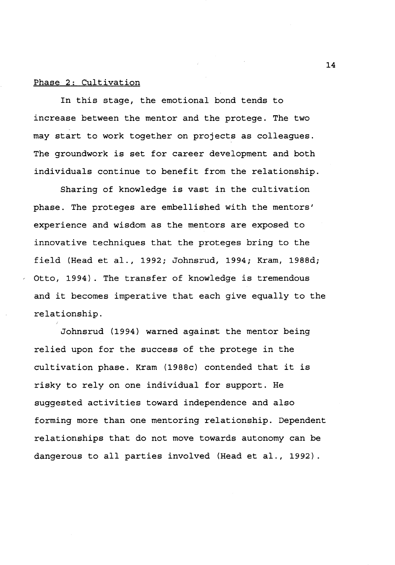#### Phase 2: Cultivation

In this stage, the emotional bond tends to increase between the mentor and the protege. The two may start to work together on projects as colleagues. The groundwork is set for career development and both individuals continue to benefit from the relationship.

Sharing of knowledge is vast in the cultivation phase. The proteges are embellished with the mentors' experience and wisdom as the mentors are exposed to innovative techniques that the proteges bring to the field (Head et al., 1992; Johnsrud, 1994; Kram, 1988d; Otto, 1994). The transfer of knowledge is tremendous and it becomes imperative that each give equally to the relationship.

Johnsrud (1994) warned against the mentor being relied upon for the success of the protege in the cultivation phase. Kram (1988c) contended that it is risky to rely on one individual for support. He suggested activities toward independence and also forming more than one mentoring relationship. Dependent relationships that do not move towards autonomy can be dangerous to all parties involved (Head et al., 1992).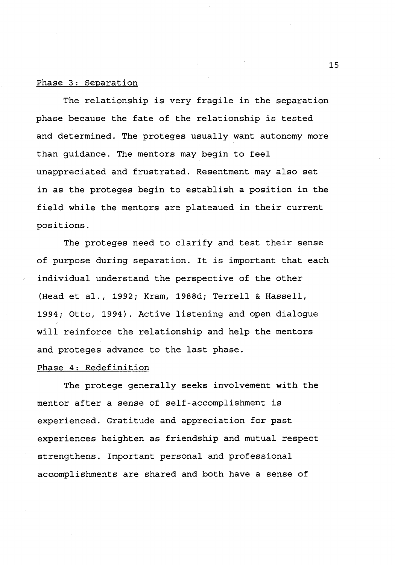#### Phase 3: Separation

The relationship is very fragile in the separation phase because the fate of the relationship is tested and determined. The proteges usually want autonomy more than guidance. The mentors may begin to feel unappreciated and frustrated. Resentment may also set in as the proteges begin to establish a position in the field while the mentors are plateaued in their current positions.

The proteges need to clarify and test their sense of purpose during separation. It is important that each individual understand the perspective of the other (Head et al., 1992; Kram, 1988d; Terrell & Hassell, 1994; Otto, 1994). Active listening and open dialogue will reinforce the relationship and help the mentors and proteges advance to the last phase.

## Phase 4: Redefinition

The protege generally seeks involvement with the mentor after a sense of self-accomplishment is experienced. Gratitude and appreciation for past experiences heighten as friendship and mutual respect strengthens. Important personal and professional accomplishments are shared and both have a sense of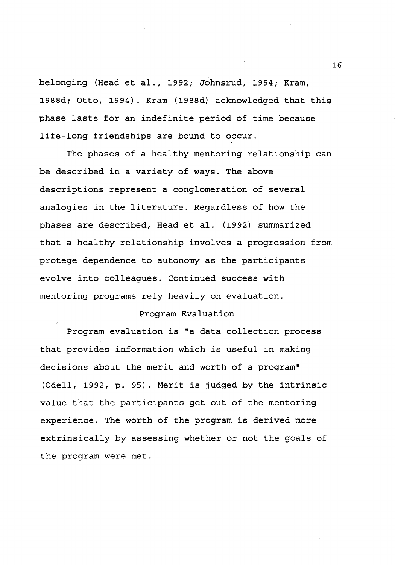belonging (Head et al., 1992; Johnsrud, 1994; Kram, 1988d; Otto, 1994). Kram (1988d) acknowledged that this phase lasts for an indefinite period of time because life-long friendships are bound to occur.

The phases of a healthy mentoring relationship can be described in a variety of ways. The above descriptions represent a conglomeration of several analogies in the literature. Regardless of how the phases are described, Head et al. (1992) summarized that a healthy relationship involves a progression from protege dependence to autonomy as the participants evolve into colleagues. Continued success with mentoring programs rely heavily on evaluation.

### Program Evaluation

Program evaluation is "a data collection process that provides information which is useful in making decisions about the merit and worth of a program" (Odell, 1992, p. 95). Merit is judged by the intrinsic value that the participants get out of the mentoring experience. The worth of the program is derived more extrinsically by assessing whether or not the goals of the program were met.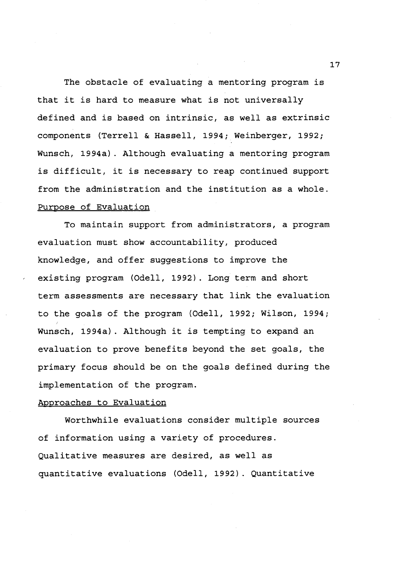The obstacle of evaluating a mentoring program is that it is hard to measure what is not universally defined and is based on intrinsic, as well as extrinsic components (Terrell & Hassell, 1994; Weinberger, 1992; Wunsch, 1994a). Although evaluating a mentoring program is difficult, it is necessary to reap continued support from the administration and the institution as a whole. Purpose of Evaluation

To maintain support from administrators, a program evaluation must show accountability, produced knowledge, and offer suggestions to improve the existing program (Odell, 1992). Long term and short term assessments are necessary that link the evaluation to the goals of the program (Odell, 1992; Wilson, 1994; Wunsch, 1994a). Although it is tempting to expand an evaluation to prove benefits beyond the set goals, the primary focus should be on the goals defined during the implementation of the program.

#### Approaches to Evaluation

Worthwhile evaluations consider multiple sources of information using a variety of procedures. Qualitative measures are desired, as well as quantitative evaluations (Odell, 1992). Quantitative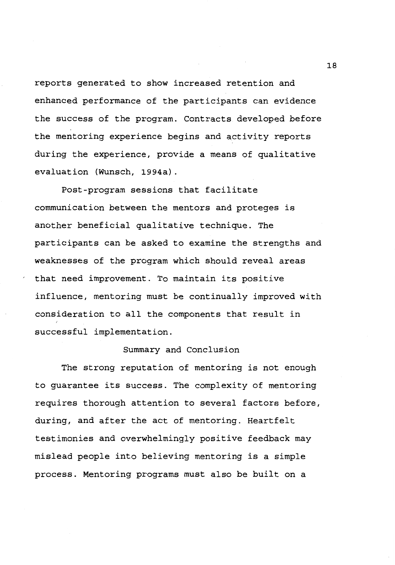reports generated to show increased retention and enhanced performance of the participants can evidence the success of the program. Contracts developed before the mentoring experience begins and activity reports during the experience, provide a means of qualitative evaluation (Wunsch, 1994a).

Post-program sessions that facilitate communication between the mentors and proteges is another beneficial qualitative technique. The participants can be asked to examine the strengths and weaknesses of the program which should reveal areas that need improvement. To maintain its positive influence, mentoring must be continually improved with consideration to all the components that result in successful implementation.

## Summary and Conclusion

The strong reputation of mentoring is not enough to guarantee its success. The complexity of mentoring requires thorough attention to several factors before, during, and after the act of mentoring. Heartfelt testimonies and overwhelmingly positive feedback may mislead people into believing mentoring is a simple process. Mentoring programs must also be built on a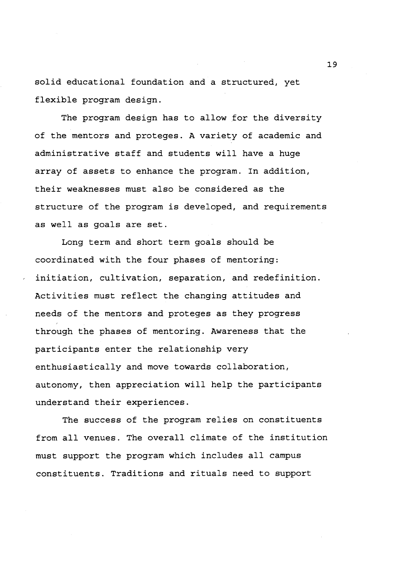solid educational foundation and a structured, yet flexible program design.

The program design has to allow for the diversity of the mentors and proteges. A variety of academic and administrative staff and students will have a huge array of assets to enhance the program. In addition, their weaknesses must also be considered as the structure of the program is developed, and requirements as well as goals are set.

Long term and short term goals should be coordinated with the four phases of mentoring: initiation, cultivation, separation, and redefinition. Activities must reflect the changing attitudes and needs of the mentors and proteges as they progress through the phases of mentoring. Awareness that the participants enter the relationship very enthusiastically and move towards collaboration, autonomy, then appreciation will help the participants understand their experiences.

The success of the program relies on constituents from all venues. The overall climate of the institution must support the program which includes all campus constituents. Traditions and rituals need to support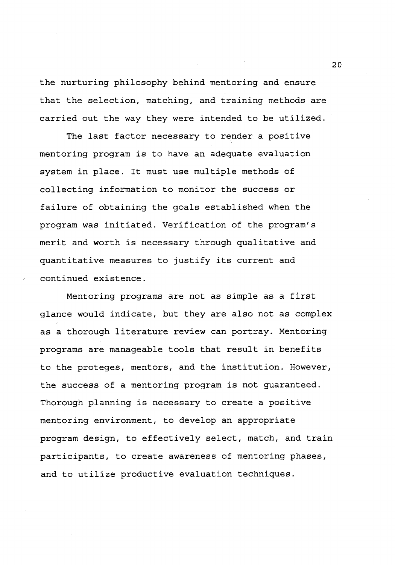the nurturing philosophy behind mentoring and ensure that the selection, matching, and training methods are carried out the way they were intended to be utilized.

The last factor necessary to render a positive mentoring program is to have an adequate evaluation system in place. It must use multiple methods of collecting information to monitor the success or failure of obtaining the goals established when the program was initiated. Verification of the program's merit and worth is necessary through qualitative and quantitative measures to justify its current and continued existence.

Mentoring programs are not as simple as a first glance would indicate, but they are also not as complex as a thorough literature review can portray. Mentoring programs are manageable tools that result in benefits to the proteges, mentors, and the institution. However, the success of a mentoring program is not guaranteed. Thorough planning is necessary to create a positive mentoring environment, to develop an appropriate program design, to effectively select, match, and train participants, to create awareness of mentoring phases, and to utilize productive evaluation techniques.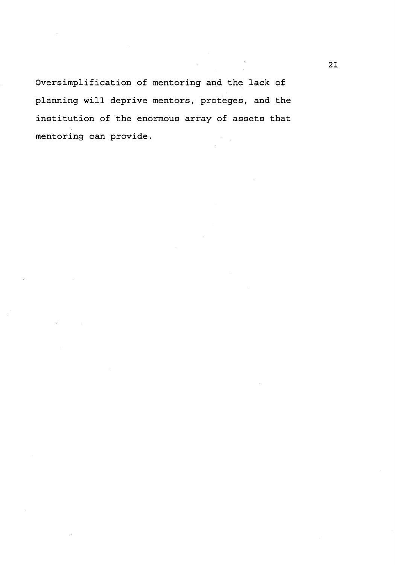Oversimplification of mentoring and the lack of planning will deprive mentors, proteges, and the institution of the enormous array of assets that mentoring can provide.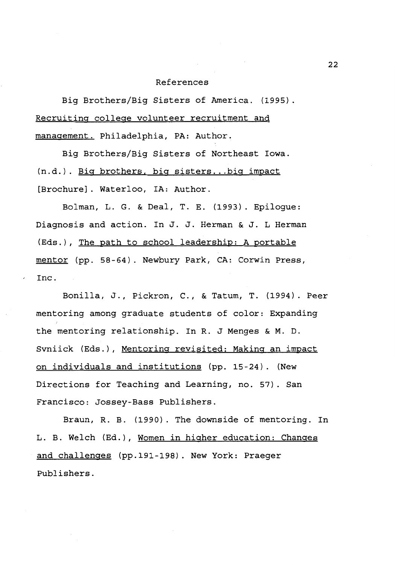#### References

Big Brothers/Big Sisters of America. (1995). Recruiting college volunteer recruitment and management. Philadelphia, PA: Author.

Big Brothers/Big Sisters of Northeast Iowa. (n.d.). Big brothers. big sisters ... big impact [Brochure]. Waterloo, IA: Author.

Bolman, L. G. & Deal, T. E. (1993). Epilogue: Diagnosis and action. In J. J. Herman & J. L Herman (Eds.), The path to school leadership: A portable mentor (pp. 58-64). Newbury Park, CA: Corwin Press, Inc.

Bonilla, J., Pickron, C., & Tatum, T. (1994). Peer mentoring among graduate students of color: Expanding the mentoring relationship. In R. J Menges & M. D. Svniick (Eds.), Mentoring revisited: Making an impact on individuals and institutions (pp. 15-24). (New Directions for Teaching and Learning, no. 57). San Francisco: Jossey-Bass Publishers.

Braun, R. B. (1990). The downside of mentoring. In L.B. Welch (Ed.), Women in higher education: Changes and challenges (pp.191-198). New York: Praeger Publishers.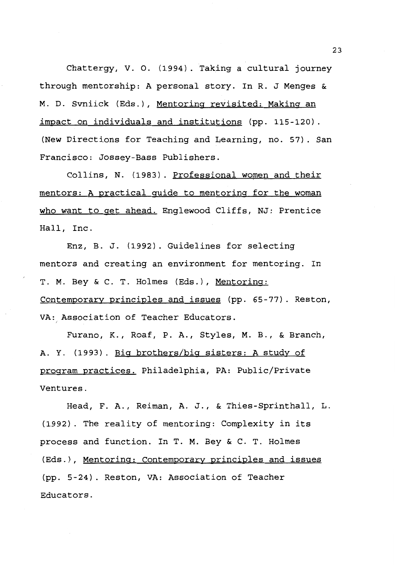Chattergy, V. 0. (1994). Taking a cultural journey through mentorship: A personal story. In R. J Menges & M. D. Svniick (Eds.), Mentoring revisited: Making an impact on individuals and institutions (pp. 115-120). (New Directions for Teaching and Learning, no. 57). San Francisco: Jossey-Bass Publishers.

Collins, N. (1983). Professional women and their mentors: A practical guide to mentoring for the woman who want to get ahead. Englewood Cliffs, NJ: Prentice Hall, Inc.

Enz, B. J. (1992). Guidelines for selecting mentors and creating an environment for mentoring. In T. M. Bey & C. T. Holmes (Eds.), Mentoring: Contemporary principles and issues (pp. 65-77). Reston, VA: Association of Teacher Educators.

Furano, K., Roaf, P.A., Styles, M. B., & Branch, A. Y. (1993). Big brothers/big sisters: A study of program practices. Philadelphia, PA: Public/Private Ventures.

Head, F. A., Reiman, A. J., & Thies-Sprinthall, L. (1992). The reality of mentoring: Complexity in its process and function. In T. M. Bey & C. T. Holmes (Eds.), Mentoring: Contemporary principles and issues (pp. 5-24). Reston, VA: Association of Teacher Educators.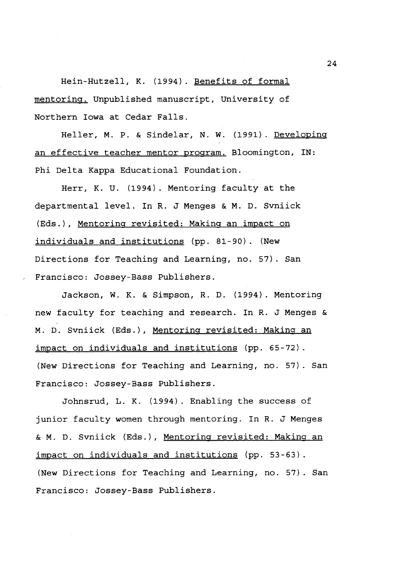Hein-Hutzell, K. (1994). Benefits of formal mentoring. Unpublished manuscript, University of Northern Iowa at Cedar Falls.

Heller, M. P. & Sindelar, N. W. (1991). Developing an effective teacher mentor program. Bloomington, IN: Phi Delta Kappa Educational Foundation.

Herr, K. U. (1994). Mentoring faculty at the departmental level. In R. J Menges & M. D. Svniick (Eds.), Mentoring revisited: Making an impact on individuals and institutions (pp. 81-90). (New Directions for Teaching and Learning, no. 57). San Francisco: Jossey-Bass Publishers.

Jackson, W. K. & Simpson, R. D. (1994). Mentoring new faculty for teaching and research. In R. J Menges & M. D. Svniick (Eds.), Mentoring revisited: Making an impact on individuals and institutions (pp. 65-72). (New Directions for Teaching and Learning, no. 57). San Francisco: Jossey-Bass Publishers.

Johnsrud, L. K. (1994). Enabling the success of junior faculty women through mentoring. In R. J Menges & M. D. Svniick (Eds.), Mentoring revisited: Making an impact on individuals and institutions (pp. 53-63). **(New** Directions for Teaching and Learning, no. 57). San Francisco: Jossey-Bass Publishers.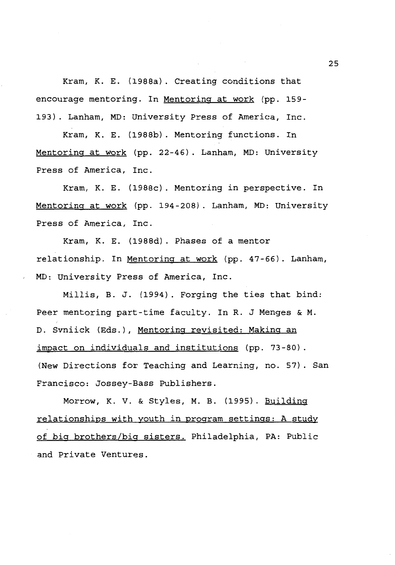Kram, K. E. {1988a). Creating conditions that encourage mentoring. In Mentoring at work (pp. 159-193). Lanham, MD: University Press of America, Inc.

Kram, K. E. {1988b). Mentoring functions. In Mentoring at work {pp. 22-46). Lanham, MD: University Press of America, Inc.

Kram, K. E. {1988c). Mentoring in perspective. In Mentoring at work {pp. 194-208). Lanham, MD: University Press of America, Inc.

Kram, K. E. {1988d). Phases of a mentor relationship. In Mentoring at work {pp. 47-66). Lanham, MD: University Press of America, Inc.

Millis, B. J. {1994). Forging the ties that bind: Peer mentoring part-time faculty. In R. J Menges & M. D. Svniick {Eds.), Mentoring revisited: Making an impact on individuals and institutions (pp. 73-80). {New Directions for Teaching and Learning, no. 57). San Francisco: Jossey-Bass Publishers.

**Morrow, K. V.** & Styles, M. B. {1995). Building relationships with youth in program settings: A study of big brothers/big sisters. Philadelphia, PA: Public and Private Ventures.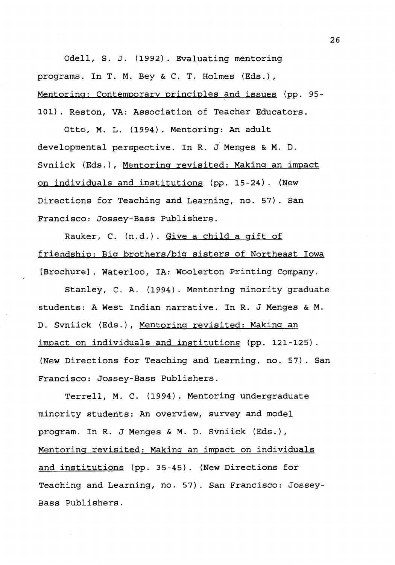Odell, S. J. (1992). Evaluating mentoring programs. In T. M. Bey & C. T. Holmes (Eds.), Mentoring: Contemporary principles and issues (pp. 95- 101). Reston, VA: Association of Teacher Educators.

Otto, M. L. (1994). Mentoring: An adult developmental perspective. In R. J Menges & M. D. Svniick (Eds.), Mentoring revisited: Making an impact on individuals and institutions (pp. 15-24). (New Directions for Teaching and Learning, no. 57). San Francisco: Jossey-Bass Publishers.

Rauker, C. (n.d.). Give a child a gift of friendship: Big brothers/big sisters of Northeast Iowa [Brochure]. Waterloo, IA: Woolerton Printing Company.

Stanley, C. A. (1994). Mentoring minority graduate students: A West Indian narrative. In R. J Menges & **M.**  D. Svniick (Eds.), Mentoring revisited: Making an impact on individuals and institutions (pp. 121-125). (New Directions for Teaching and Learning, no. 57). San Francisco: Jossey-Bass Publishers.

Terrell, M. C. (1994). Mentoring undergraduate minority students: An overview, survey and model program. In R. J Menges & M. D. Svniick (Eds.), Mentoring revisited: Making an impact on individuals and institutions (pp. 35-45). (New Directions for Teaching and Learning, no. 57). San Francisco: Jossey-Bass Publishers.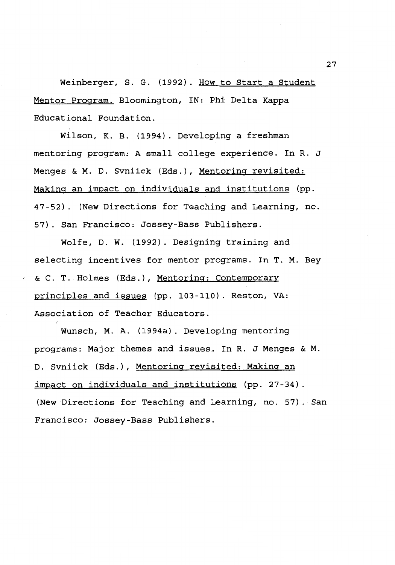Weinberger, S. G. (1992). How to Start a Student Mentor Program. Bloomington, IN: Phi Delta Kappa Educational Foundation.

Wilson, K. B. (1994). Developing a freshman mentoring program: A small college experience. In R. J Menges & M. D. Svniick (Eds.), Mentoring revisited: Making an impact on individuals and institutions (pp. 47-52). **(New** Directions for Teaching and Learning, no. 57). San Francisco: Jossey-Bass Publishers.

Wolfe, D. W. (1992). Designing training and selecting incentives for mentor programs. In T. M. Bey & C. T. Holmes (Eds.), Mentoring: Contemporary principles and issues (pp. 103-110). Reston, VA: Association of Teacher Educators.

Wunsch, **M.A.** (1994a). Developing mentoring programs: Major themes and issues. In R. J Menges & M. D. Svniick (Eds.), Mentoring revisited: Making an impact on individuals and institutions (pp. 27-34). (New Directions for Teaching and Learning, no. 57). San Francisco: Jossey-Bass Publishers.